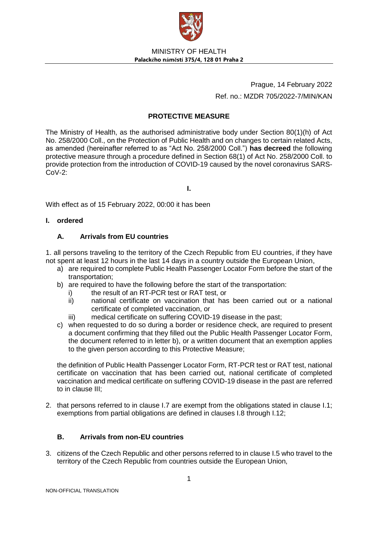

Prague, 14 February 2022 Ref. no.: MZDR 705/2022-7/MIN/KAN

# **PROTECTIVE MEASURE**

The Ministry of Health, as the authorised administrative body under Section 80(1)(h) of Act No. 258/2000 Coll., on the Protection of Public Health and on changes to certain related Acts, as amended (hereinafter referred to as "Act No. 258/2000 Coll.") **has decreed** the following protective measure through a procedure defined in Section 68(1) of Act No. 258/2000 Coll. to provide protection from the introduction of COVID-19 caused by the novel coronavirus SARS- $Cov-2$ :

**I.**

With effect as of 15 February 2022, 00:00 it has been

## **I. ordered**

# **A. Arrivals from EU countries**

1. all persons traveling to the territory of the Czech Republic from EU countries, if they have not spent at least 12 hours in the last 14 days in a country outside the European Union,

- a) are required to complete Public Health Passenger Locator Form before the start of the transportation;
- b) are required to have the following before the start of the transportation:
	- i) the result of an RT-PCR test or RAT test, or
	- ii) national certificate on vaccination that has been carried out or a national certificate of completed vaccination, or
	- iii) medical certificate on suffering COVID-19 disease in the past;
- c) when requested to do so during a border or residence check, are required to present a document confirming that they filled out the Public Health Passenger Locator Form, the document referred to in letter b), or a written document that an exemption applies to the given person according to this Protective Measure;

the definition of Public Health Passenger Locator Form, RT-PCR test or RAT test, national certificate on vaccination that has been carried out, national certificate of completed vaccination and medical certificate on suffering COVID-19 disease in the past are referred to in clause III;

2. that persons referred to in clause I.7 are exempt from the obligations stated in clause I.1; exemptions from partial obligations are defined in clauses I.8 through I.12;

# **B. Arrivals from non-EU countries**

3. citizens of the Czech Republic and other persons referred to in clause I.5 who travel to the territory of the Czech Republic from countries outside the European Union,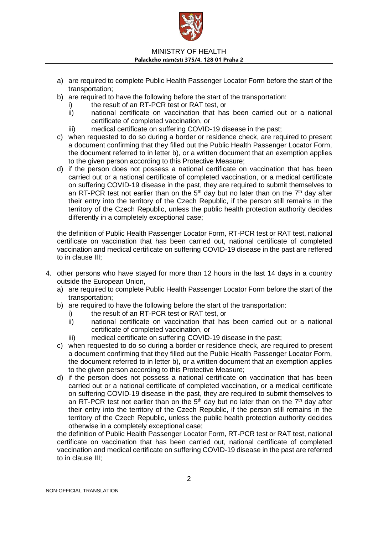

- a) are required to complete Public Health Passenger Locator Form before the start of the transportation;
- b) are required to have the following before the start of the transportation:
	- i) the result of an RT-PCR test or RAT test, or
	- ii) national certificate on vaccination that has been carried out or a national certificate of completed vaccination, or
	- iii) medical certificate on suffering COVID-19 disease in the past;
- c) when requested to do so during a border or residence check, are required to present a document confirming that they filled out the Public Health Passenger Locator Form, the document referred to in letter b), or a written document that an exemption applies to the given person according to this Protective Measure;
- d) if the person does not possess a national certificate on vaccination that has been carried out or a national certificate of completed vaccination, or a medical certificate on suffering COVID-19 disease in the past, they are required to submit themselves to an RT-PCR test not earlier than on the  $5<sup>th</sup>$  day but no later than on the  $7<sup>th</sup>$  day after their entry into the territory of the Czech Republic, if the person still remains in the territory of the Czech Republic, unless the public health protection authority decides differently in a completely exceptional case;

the definition of Public Health Passenger Locator Form, RT-PCR test or RAT test, national certificate on vaccination that has been carried out, national certificate of completed vaccination and medical certificate on suffering COVID-19 disease in the past are reffered to in clause III;

- 4. other persons who have stayed for more than 12 hours in the last 14 days in a country outside the European Union,
	- a) are required to complete Public Health Passenger Locator Form before the start of the transportation;
	- b) are required to have the following before the start of the transportation:
		- i) the result of an RT-PCR test or RAT test, or
		- ii) national certificate on vaccination that has been carried out or a national certificate of completed vaccination, or
		- iii) medical certificate on suffering COVID-19 disease in the past;
	- c) when requested to do so during a border or residence check, are required to present a document confirming that they filled out the Public Health Passenger Locator Form, the document referred to in letter b), or a written document that an exemption applies to the given person according to this Protective Measure;
	- d) if the person does not possess a national certificate on vaccination that has been carried out or a national certificate of completed vaccination, or a medical certificate on suffering COVID-19 disease in the past, they are required to submit themselves to an RT-PCR test not earlier than on the  $5<sup>th</sup>$  day but no later than on the  $7<sup>th</sup>$  day after their entry into the territory of the Czech Republic, if the person still remains in the territory of the Czech Republic, unless the public health protection authority decides otherwise in a completely exceptional case;

the definition of Public Health Passenger Locator Form, RT-PCR test or RAT test, national certificate on vaccination that has been carried out, national certificate of completed vaccination and medical certificate on suffering COVID-19 disease in the past are referred to in clause III;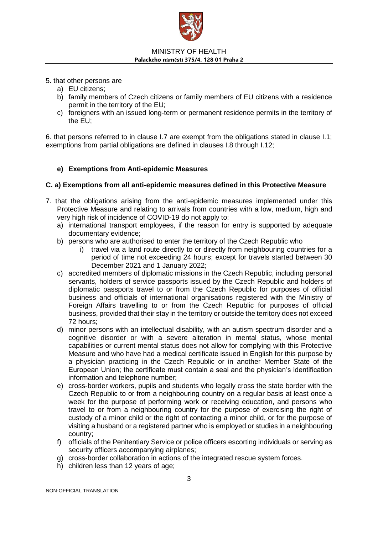

- 5. that other persons are
	- a) EU citizens;
	- b) family members of Czech citizens or family members of EU citizens with a residence permit in the territory of the EU;
	- c) foreigners with an issued long-term or permanent residence permits in the territory of the EU;

6. that persons referred to in clause I.7 are exempt from the obligations stated in clause I.1; exemptions from partial obligations are defined in clauses I.8 through I.12;

# **e) Exemptions from Anti-epidemic Measures**

## **C. a) Exemptions from all anti-epidemic measures defined in this Protective Measure**

- 7. that the obligations arising from the anti-epidemic measures implemented under this Protective Measure and relating to arrivals from countries with a low, medium, high and very high risk of incidence of COVID-19 do not apply to:
	- a) international transport employees, if the reason for entry is supported by adequate documentary evidence;
	- b) persons who are authorised to enter the territory of the Czech Republic who
		- i) travel via a land route directly to or directly from neighbouring countries for a period of time not exceeding 24 hours; except for travels started between 30 December 2021 and 1 January 2022;
	- c) accredited members of diplomatic missions in the Czech Republic, including personal servants, holders of service passports issued by the Czech Republic and holders of diplomatic passports travel to or from the Czech Republic for purposes of official business and officials of international organisations registered with the Ministry of Foreign Affairs travelling to or from the Czech Republic for purposes of official business, provided that their stay in the territory or outside the territory does not exceed 72 hours;
	- d) minor persons with an intellectual disability, with an autism spectrum disorder and a cognitive disorder or with a severe alteration in mental status, whose mental capabilities or current mental status does not allow for complying with this Protective Measure and who have had a medical certificate issued in English for this purpose by a physician practicing in the Czech Republic or in another Member State of the European Union; the certificate must contain a seal and the physician's identification information and telephone number;
	- e) cross-border workers, pupils and students who legally cross the state border with the Czech Republic to or from a neighbouring country on a regular basis at least once a week for the purpose of performing work or receiving education, and persons who travel to or from a neighbouring country for the purpose of exercising the right of custody of a minor child or the right of contacting a minor child, or for the purpose of visiting a husband or a registered partner who is employed or studies in a neighbouring country;
	- f) officials of the Penitentiary Service or police officers escorting individuals or serving as security officers accompanying airplanes;
	- g) cross-border collaboration in actions of the integrated rescue system forces.
	- h) children less than 12 years of age;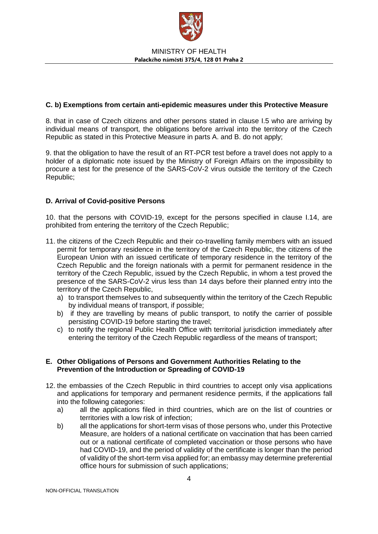

## **C. b) Exemptions from certain anti-epidemic measures under this Protective Measure**

8. that in case of Czech citizens and other persons stated in clause I.5 who are arriving by individual means of transport, the obligations before arrival into the territory of the Czech Republic as stated in this Protective Measure in parts A. and B. do not apply;

9. that the obligation to have the result of an RT-PCR test before a travel does not apply to a holder of a diplomatic note issued by the Ministry of Foreign Affairs on the impossibility to procure a test for the presence of the SARS-CoV-2 virus outside the territory of the Czech Republic;

## **D. Arrival of Covid-positive Persons**

10. that the persons with COVID-19, except for the persons specified in clause I.14, are prohibited from entering the territory of the Czech Republic;

- 11. the citizens of the Czech Republic and their co-travelling family members with an issued permit for temporary residence in the territory of the Czech Republic, the citizens of the European Union with an issued certificate of temporary residence in the territory of the Czech Republic and the foreign nationals with a permit for permanent residence in the territory of the Czech Republic, issued by the Czech Republic, in whom a test proved the presence of the SARS-CoV-2 virus less than 14 days before their planned entry into the territory of the Czech Republic,
	- a) to transport themselves to and subsequently within the territory of the Czech Republic by individual means of transport, if possible;
	- b) if they are travelling by means of public transport, to notify the carrier of possible persisting COVID-19 before starting the travel;
	- c) to notify the regional Public Health Office with territorial jurisdiction immediately after entering the territory of the Czech Republic regardless of the means of transport;

#### **E. Other Obligations of Persons and Government Authorities Relating to the Prevention of the Introduction or Spreading of COVID-19**

- 12. the embassies of the Czech Republic in third countries to accept only visa applications and applications for temporary and permanent residence permits, if the applications fall into the following categories:
	- a) all the applications filed in third countries, which are on the list of countries or territories with a low risk of infection;
	- b) all the applications for short-term visas of those persons who, under this Protective Measure, are holders of a national certificate on vaccination that has been carried out or a national certificate of completed vaccination or those persons who have had COVID-19, and the period of validity of the certificate is longer than the period of validity of the short-term visa applied for; an embassy may determine preferential office hours for submission of such applications;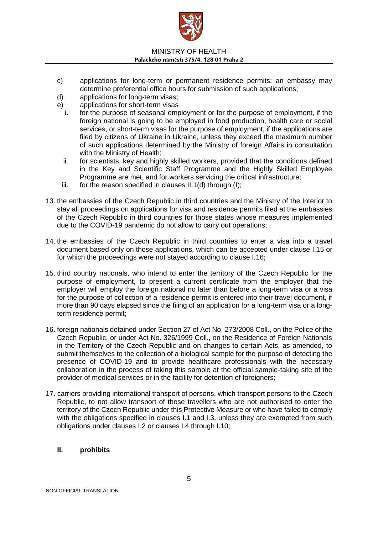

- c) applications for long-term or permanent residence permits; an embassy may determine preferential office hours for submission of such applications;
- d) applications for long-term visas;
- e) applications for short-term visas
	- i. for the purpose of seasonal employment or for the purpose of employment, if the foreign national is going to be employed in food production, health care or social services, or short-term visas for the purpose of employment, if the applications are filed by citizens of Ukraine in Ukraine, unless they exceed the maximum number of such applications determined by the Ministry of foreign Affairs in consultation with the Ministry of Health:
	- ii. for scientists, key and highly skilled workers, provided that the conditions defined in the Key and Scientific Staff Programme and the Highly Skilled Employee Programme are met, and for workers servicing the critical infrastructure;
- iii. for the reason specified in clauses II.1(d) through (I);
- 13. the embassies of the Czech Republic in third countries and the Ministry of the Interior to stay all proceedings on applications for visa and residence permits filed at the embassies of the Czech Republic in third countries for those states whose measures implemented due to the COVID-19 pandemic do not allow to carry out operations;
- 14. the embassies of the Czech Republic in third countries to enter a visa into a travel document based only on those applications, which can be accepted under clause I.15 or for which the proceedings were not stayed according to clause I.16;
- 15. third country nationals, who intend to enter the territory of the Czech Republic for the purpose of employment, to present a current certificate from the employer that the employer will employ the foreign national no later than before a long-term visa or a visa for the purpose of collection of a residence permit is entered into their travel document, if more than 90 days elapsed since the filing of an application for a long-term visa or a longterm residence permit;
- 16. foreign nationals detained under Section 27 of Act No. 273/2008 Coll., on the Police of the Czech Republic, or under Act No. 326/1999 Coll., on the Residence of Foreign Nationals in the Territory of the Czech Republic and on changes to certain Acts, as amended, to submit themselves to the collection of a biological sample for the purpose of detecting the presence of COVID-19 and to provide healthcare professionals with the necessary collaboration in the process of taking this sample at the official sample-taking site of the provider of medical services or in the facility for detention of foreigners;
- 17. carriers providing international transport of persons, which transport persons to the Czech Republic, to not allow transport of those travellers who are not authorised to enter the territory of the Czech Republic under this Protective Measure or who have failed to comply with the obligations specified in clauses I.1 and I.3, unless they are exempted from such obligations under clauses I.2 or clauses I.4 through I.10;

## **II. prohibits**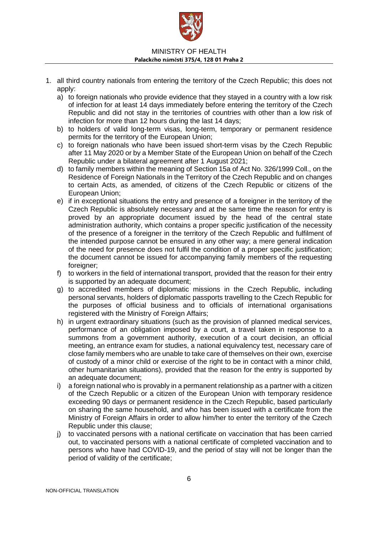

- 1. all third country nationals from entering the territory of the Czech Republic; this does not apply:
	- a) to foreign nationals who provide evidence that they stayed in a country with a low risk of infection for at least 14 days immediately before entering the territory of the Czech Republic and did not stay in the territories of countries with other than a low risk of infection for more than 12 hours during the last 14 days;
	- b) to holders of valid long-term visas, long-term, temporary or permanent residence permits for the territory of the European Union;
	- c) to foreign nationals who have been issued short-term visas by the Czech Republic after 11 May 2020 or by a Member State of the European Union on behalf of the Czech Republic under a bilateral agreement after 1 August 2021;
	- d) to family members within the meaning of Section 15a of Act No. 326/1999 Coll., on the Residence of Foreign Nationals in the Territory of the Czech Republic and on changes to certain Acts, as amended, of citizens of the Czech Republic or citizens of the European Union;
	- e) if in exceptional situations the entry and presence of a foreigner in the territory of the Czech Republic is absolutely necessary and at the same time the reason for entry is proved by an appropriate document issued by the head of the central state administration authority, which contains a proper specific justification of the necessity of the presence of a foreigner in the territory of the Czech Republic and fulfilment of the intended purpose cannot be ensured in any other way; a mere general indication of the need for presence does not fulfil the condition of a proper specific justification; the document cannot be issued for accompanying family members of the requesting foreigner:
	- f) to workers in the field of international transport, provided that the reason for their entry is supported by an adequate document;
	- g) to accredited members of diplomatic missions in the Czech Republic, including personal servants, holders of diplomatic passports travelling to the Czech Republic for the purposes of official business and to officials of international organisations registered with the Ministry of Foreign Affairs;
	- h) in urgent extraordinary situations (such as the provision of planned medical services, performance of an obligation imposed by a court, a travel taken in response to a summons from a government authority, execution of a court decision, an official meeting, an entrance exam for studies, a national equivalency test, necessary care of close family members who are unable to take care of themselves on their own, exercise of custody of a minor child or exercise of the right to be in contact with a minor child, other humanitarian situations), provided that the reason for the entry is supported by an adequate document;
	- i) a foreign national who is provably in a permanent relationship as a partner with a citizen of the Czech Republic or a citizen of the European Union with temporary residence exceeding 90 days or permanent residence in the Czech Republic, based particularly on sharing the same household, and who has been issued with a certificate from the Ministry of Foreign Affairs in order to allow him/her to enter the territory of the Czech Republic under this clause;
	- j) to vaccinated persons with a national certificate on vaccination that has been carried out, to vaccinated persons with a national certificate of completed vaccination and to persons who have had COVID-19, and the period of stay will not be longer than the period of validity of the certificate;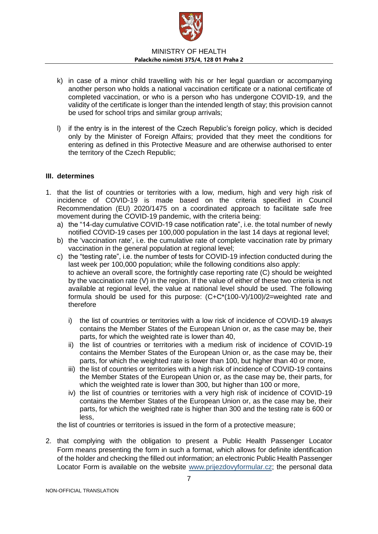

- k) in case of a minor child travelling with his or her legal guardian or accompanying another person who holds a national vaccination certificate or a national certificate of completed vaccination, or who is a person who has undergone COVID-19, and the validity of the certificate is longer than the intended length of stay; this provision cannot be used for school trips and similar group arrivals;
- l) if the entry is in the interest of the Czech Republic's foreign policy, which is decided only by the Minister of Foreign Affairs; provided that they meet the conditions for entering as defined in this Protective Measure and are otherwise authorised to enter the territory of the Czech Republic;

## **III. determines**

- 1. that the list of countries or territories with a low, medium, high and very high risk of incidence of COVID-19 is made based on the criteria specified in Council Recommendation (EU) 2020/1475 on a coordinated approach to facilitate safe free movement during the COVID-19 pandemic, with the criteria being:
	- a) the "14-day cumulative COVID-19 case notification rate", i.e. the total number of newly notified COVID-19 cases per 100,000 population in the last 14 days at regional level;
	- b) the 'vaccination rate', i.e. the cumulative rate of complete vaccination rate by primary vaccination in the general population at regional level;
	- c) the "testing rate", i.e. the number of tests for COVID-19 infection conducted during the last week per 100,000 population; while the following conditions also apply: to achieve an overall score, the fortnightly case reporting rate (C) should be weighted by the vaccination rate (V) in the region. If the value of either of these two criteria is not available at regional level, the value at national level should be used. The following formula should be used for this purpose: (C+C\*(100-V)/100)/2=weighted rate and therefore
		- i) the list of countries or territories with a low risk of incidence of COVID-19 always contains the Member States of the European Union or, as the case may be, their parts, for which the weighted rate is lower than 40,
		- ii) the list of countries or territories with a medium risk of incidence of COVID-19 contains the Member States of the European Union or, as the case may be, their parts, for which the weighted rate is lower than 100, but higher than 40 or more,
		- iii) the list of countries or territories with a high risk of incidence of COVID-19 contains the Member States of the European Union or, as the case may be, their parts, for which the weighted rate is lower than 300, but higher than 100 or more,
		- iv) the list of countries or territories with a very high risk of incidence of COVID-19 contains the Member States of the European Union or, as the case may be, their parts, for which the weighted rate is higher than 300 and the testing rate is 600 or less,

the list of countries or territories is issued in the form of a protective measure;

2. that complying with the obligation to present a Public Health Passenger Locator Form means presenting the form in such a format, which allows for definite identification of the holder and checking the filled out information; an electronic Public Health Passenger Locator Form is available on the website [www.prijezdovyformular.cz;](http://www.prijezdovyformular.cz/) the personal data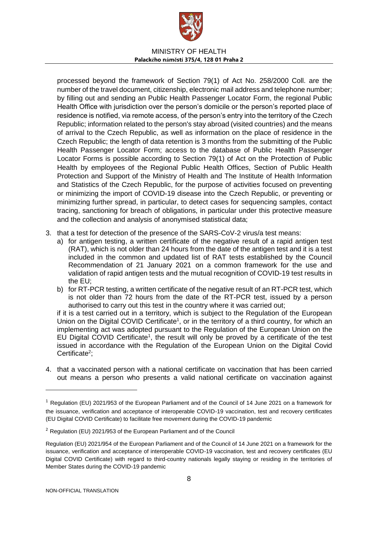

processed beyond the framework of Section 79(1) of Act No. 258/2000 Coll. are the number of the travel document, citizenship, electronic mail address and telephone number; by filling out and sending an Public Health Passenger Locator Form, the regional Public Health Office with jurisdiction over the person's domicile or the person's reported place of residence is notified, via remote access, of the person's entry into the territory of the Czech Republic; information related to the person's stay abroad (visited countries) and the means of arrival to the Czech Republic, as well as information on the place of residence in the Czech Republic; the length of data retention is 3 months from the submitting of the Public Health Passenger Locator Form; access to the database of Public Health Passenger Locator Forms is possible according to Section 79(1) of Act on the Protection of Public Health by employees of the Regional Public Health Offices, Section of Public Health Protection and Support of the Ministry of Health and The Institute of Health Information and Statistics of the Czech Republic, for the purpose of activities focused on preventing or minimizing the import of COVID-19 disease into the Czech Republic, or preventing or minimizing further spread, in particular, to detect cases for sequencing samples, contact tracing, sanctioning for breach of obligations, in particular under this protective measure and the collection and analysis of anonymised statistical data;

- 3. that a test for detection of the presence of the SARS-CoV-2 virus/a test means:
	- a) for antigen testing, a written certificate of the negative result of a rapid antigen test (RAT), which is not older than 24 hours from the date of the antigen test and it is a test included in the common and updated list of RAT tests established by the Council Recommendation of 21 January 2021 on a common framework for the use and validation of rapid antigen tests and the mutual recognition of COVID-19 test results in the EU;
	- b) for RT-PCR testing, a written certificate of the negative result of an RT-PCR test, which is not older than 72 hours from the date of the RT-PCR test, issued by a person authorised to carry out this test in the country where it was carried out;

if it is a test carried out in a territory, which is subject to the Regulation of the European Union on the Digital COVID Certificate<sup>1</sup>, or in the territory of a third country, for which an implementing act was adopted pursuant to the Regulation of the European Union on the EU Digital COVID Certificate<sup>1</sup>, the result will only be proved by a certificate of the test issued in accordance with the Regulation of the European Union on the Digital Covid Certificate<sup>2</sup>;

4. that a vaccinated person with a national certificate on vaccination that has been carried out means a person who presents a valid national certificate on vaccination against

-

<sup>&</sup>lt;sup>1</sup> Regulation (EU) 2021/953 of the European Parliament and of the Council of 14 June 2021 on a framework for the issuance, verification and acceptance of interoperable COVID-19 vaccination, test and recovery certificates (EU Digital COVID Certificate) to facilitate free movement during the COVID-19 pandemic

<sup>&</sup>lt;sup>2</sup> Regulation (EU) 2021/953 of the European Parliament and of the Council

Regulation (EU) 2021/954 of the European Parliament and of the Council of 14 June 2021 on a framework for the issuance, verification and acceptance of interoperable COVID-19 vaccination, test and recovery certificates (EU Digital COVID Certificate) with regard to third-country nationals legally staying or residing in the territories of Member States during the COVID-19 pandemic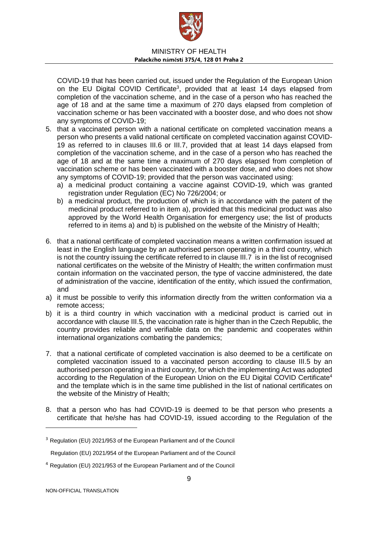

COVID-19 that has been carried out, issued under the Regulation of the European Union on the EU Digital COVID Certificate<sup>3</sup>, provided that at least 14 days elapsed from completion of the vaccination scheme, and in the case of a person who has reached the age of 18 and at the same time a maximum of 270 days elapsed from completion of vaccination scheme or has been vaccinated with a booster dose, and who does not show any symptoms of COVID-19;

- 5. that a vaccinated person with a national certificate on completed vaccination means a person who presents a valid national certificate on completed vaccination against COVID-19 as referred to in clauses III.6 or III.7, provided that at least 14 days elapsed from completion of the vaccination scheme, and in the case of a person who has reached the age of 18 and at the same time a maximum of 270 days elapsed from completion of vaccination scheme or has been vaccinated with a booster dose, and who does not show any symptoms of COVID-19; provided that the person was vaccinated using:
	- a) a medicinal product containing a vaccine against COVID-19, which was granted registration under Regulation (EC) No 726/2004; or
	- b) a medicinal product, the production of which is in accordance with the patent of the medicinal product referred to in item a), provided that this medicinal product was also approved by the World Health Organisation for emergency use; the list of products referred to in items a) and b) is published on the website of the Ministry of Health;
- 6. that a national certificate of completed vaccination means a written confirmation issued at least in the English language by an authorised person operating in a third country, which is not the country issuing the certificate referred to in clause III.7 is in the list of recognised national certificates on the website of the Ministry of Health; the written confirmation must contain information on the vaccinated person, the type of vaccine administered, the date of administration of the vaccine, identification of the entity, which issued the confirmation, and
- a) it must be possible to verify this information directly from the written conformation via a remote access;
- b) it is a third country in which vaccination with a medicinal product is carried out in accordance with clause III.5, the vaccination rate is higher than in the Czech Republic, the country provides reliable and verifiable data on the pandemic and cooperates within international organizations combating the pandemics;
- 7. that a national certificate of completed vaccination is also deemed to be a certificate on completed vaccination issued to a vaccinated person according to clause III.5 by an authorised person operating in a third country, for which the implementing Act was adopted according to the Regulation of the European Union on the EU Digital COVID Certificate<sup>4</sup> and the template which is in the same time published in the list of national certificates on the website of the Ministry of Health;
- 8. that a person who has had COVID-19 is deemed to be that person who presents a certificate that he/she has had COVID-19, issued according to the Regulation of the

-

<sup>&</sup>lt;sup>3</sup> Regulation (EU) 2021/953 of the European Parliament and of the Council

Regulation (EU) 2021/954 of the European Parliament and of the Council

<sup>4</sup> Regulation (EU) 2021/953 of the European Parliament and of the Council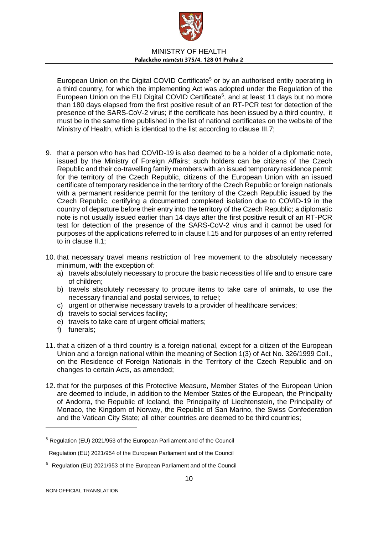

European Union on the Digital COVID Certificate<sup>5</sup> or by an authorised entity operating in a third country, for which the implementing Act was adopted under the Regulation of the European Union on the EU Digital COVID Certificate $6$ , and at least 11 days but no more than 180 days elapsed from the first positive result of an RT-PCR test for detection of the presence of the SARS-CoV-2 virus; if the certificate has been issued by a third country, it must be in the same time published in the list of national certificates on the website of the Ministry of Health, which is identical to the list according to clause III.7;

- 9. that a person who has had COVID-19 is also deemed to be a holder of a diplomatic note, issued by the Ministry of Foreign Affairs; such holders can be citizens of the Czech Republic and their co-travelling family members with an issued temporary residence permit for the territory of the Czech Republic, citizens of the European Union with an issued certificate of temporary residence in the territory of the Czech Republic or foreign nationals with a permanent residence permit for the territory of the Czech Republic issued by the Czech Republic, certifying a documented completed isolation due to COVID-19 in the country of departure before their entry into the territory of the Czech Republic; a diplomatic note is not usually issued earlier than 14 days after the first positive result of an RT-PCR test for detection of the presence of the SARS-CoV-2 virus and it cannot be used for purposes of the applications referred to in clause I.15 and for purposes of an entry referred to in clause II.1;
- 10. that necessary travel means restriction of free movement to the absolutely necessary minimum, with the exception of:
	- a) travels absolutely necessary to procure the basic necessities of life and to ensure care of children;
	- b) travels absolutely necessary to procure items to take care of animals, to use the necessary financial and postal services, to refuel;
	- c) urgent or otherwise necessary travels to a provider of healthcare services;
	- d) travels to social services facility;
	- e) travels to take care of urgent official matters;
	- f) funerals;
- 11. that a citizen of a third country is a foreign national, except for a citizen of the European Union and a foreign national within the meaning of Section 1(3) of Act No. 326/1999 Coll., on the Residence of Foreign Nationals in the Territory of the Czech Republic and on changes to certain Acts, as amended;
- 12. that for the purposes of this Protective Measure, Member States of the European Union are deemed to include, in addition to the Member States of the European, the Principality of Andorra, the Republic of Iceland, the Principality of Liechtenstein, the Principality of Monaco, the Kingdom of Norway, the Republic of San Marino, the Swiss Confederation and the Vatican City State; all other countries are deemed to be third countries;

-

<sup>5</sup> Regulation (EU) 2021/953 of the European Parliament and of the Council

Regulation (EU) 2021/954 of the European Parliament and of the Council

<sup>&</sup>lt;sup>6</sup> Regulation (EU) 2021/953 of the European Parliament and of the Council